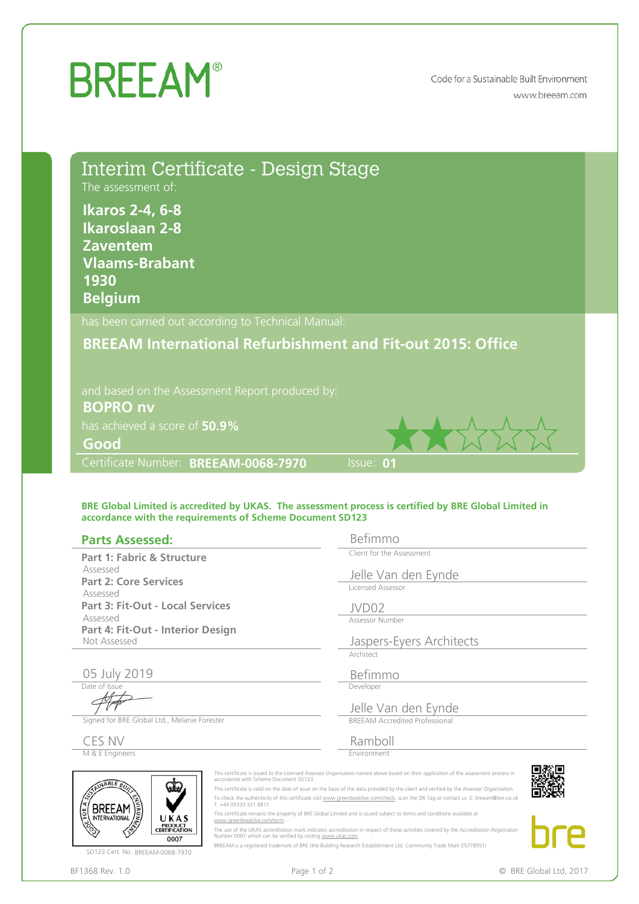## **BREEAM®**

Code for a Sustainable Built Environment www.breeam.com

| The assessment of:<br><b>Ikaros 2-4, 6-8</b><br><b>Ikaroslaan 2-8</b><br><b>Zaventem</b><br><b>Vlaams-Brabant</b><br>1930<br><b>Belgium</b> | Interim Certificate - Design Stage                                                             |                                                                                                                                                                                                                                                                                                                                                                                                                                                                                                                                                                                                                                                                                               |  |  |
|---------------------------------------------------------------------------------------------------------------------------------------------|------------------------------------------------------------------------------------------------|-----------------------------------------------------------------------------------------------------------------------------------------------------------------------------------------------------------------------------------------------------------------------------------------------------------------------------------------------------------------------------------------------------------------------------------------------------------------------------------------------------------------------------------------------------------------------------------------------------------------------------------------------------------------------------------------------|--|--|
|                                                                                                                                             | has been carried out according to Technical Manual:                                            |                                                                                                                                                                                                                                                                                                                                                                                                                                                                                                                                                                                                                                                                                               |  |  |
|                                                                                                                                             | and based on the Assessment Report produced by:                                                | <b>BREEAM International Refurbishment and Fit-out 2015: Office</b>                                                                                                                                                                                                                                                                                                                                                                                                                                                                                                                                                                                                                            |  |  |
| <b>BOPRO nv</b>                                                                                                                             |                                                                                                |                                                                                                                                                                                                                                                                                                                                                                                                                                                                                                                                                                                                                                                                                               |  |  |
| has achieved a score of 50.9%                                                                                                               |                                                                                                |                                                                                                                                                                                                                                                                                                                                                                                                                                                                                                                                                                                                                                                                                               |  |  |
| Good                                                                                                                                        |                                                                                                |                                                                                                                                                                                                                                                                                                                                                                                                                                                                                                                                                                                                                                                                                               |  |  |
| Certificate Number: BREEAM-0068-7970                                                                                                        |                                                                                                | Issue: 01                                                                                                                                                                                                                                                                                                                                                                                                                                                                                                                                                                                                                                                                                     |  |  |
| <b>Parts Assessed:</b>                                                                                                                      | accordance with the requirements of Scheme Document SD123                                      | BRE Global Limited is accredited by UKAS. The assessment process is certified by BRE Global Limited in<br>Befimmo<br>Client for the Assessment                                                                                                                                                                                                                                                                                                                                                                                                                                                                                                                                                |  |  |
| Part 1: Fabric & Structure<br>Assessed<br><b>Part 2: Core Services</b>                                                                      |                                                                                                |                                                                                                                                                                                                                                                                                                                                                                                                                                                                                                                                                                                                                                                                                               |  |  |
|                                                                                                                                             |                                                                                                | Jelle Van den Eynde<br>Licensed Assessor                                                                                                                                                                                                                                                                                                                                                                                                                                                                                                                                                                                                                                                      |  |  |
| Assessed<br><b>Part 3: Fit-Out - Local Services</b>                                                                                         |                                                                                                |                                                                                                                                                                                                                                                                                                                                                                                                                                                                                                                                                                                                                                                                                               |  |  |
| Assessed<br>Part 4: Fit-Out - Interior Design<br>Not Assessed                                                                               |                                                                                                | IVDO2<br>Assessor Number                                                                                                                                                                                                                                                                                                                                                                                                                                                                                                                                                                                                                                                                      |  |  |
|                                                                                                                                             |                                                                                                | Jaspers-Eyers Architects<br>Architect                                                                                                                                                                                                                                                                                                                                                                                                                                                                                                                                                                                                                                                         |  |  |
| 05 July 2019                                                                                                                                |                                                                                                | Befimmo                                                                                                                                                                                                                                                                                                                                                                                                                                                                                                                                                                                                                                                                                       |  |  |
| Date of Issue                                                                                                                               |                                                                                                | Developer<br>Jelle Van den Eynde                                                                                                                                                                                                                                                                                                                                                                                                                                                                                                                                                                                                                                                              |  |  |
| Signed for BRE Global Ltd., Melanie Forester                                                                                                |                                                                                                | <b>BREEAM Accredited Professional</b>                                                                                                                                                                                                                                                                                                                                                                                                                                                                                                                                                                                                                                                         |  |  |
| CES NV<br>M & E Engineers                                                                                                                   |                                                                                                | Ramboll<br>Environment                                                                                                                                                                                                                                                                                                                                                                                                                                                                                                                                                                                                                                                                        |  |  |
| INABLE BU<br><b>BREEAM</b><br><b>INTERNATIONAL</b><br>UKAS<br>PRODUCT<br>CERTIFICATION                                                      | accordance with Scheme Document SD123.<br>T. +44 (0)333 321 8811<br>www.greenbooklive.com/term | This certificate is issued to the Licensed Assessor Organisation named above based on their application of the assessment process in<br>This certificate is valid on the date of issue on the basis of the data provided by the client and verified by the Assessor Organisation.<br>To check the authenticity of this certificate visit www.greenbooklive.com/check, scan the QR Tag or contact us: E: breeam@bre.co.uk<br>This certificate remains the property of BRE Global Limited and is issued subject to terms and conditions available at<br>The use of the UKAS accreditation mark indicates accreditation in respect of those activities covered by the Accreditation Registration |  |  |